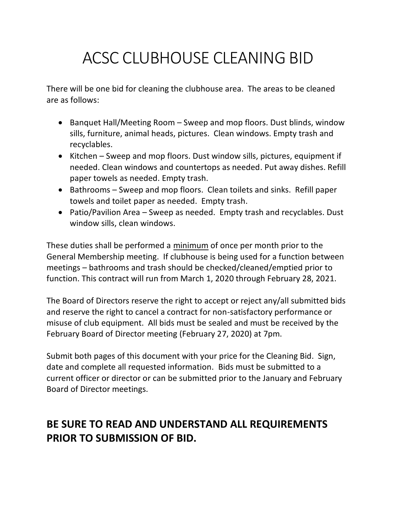## ACSC CLUBHOUSE CLEANING BID

There will be one bid for cleaning the clubhouse area. The areas to be cleaned are as follows:

- Banquet Hall/Meeting Room Sweep and mop floors. Dust blinds, window sills, furniture, animal heads, pictures. Clean windows. Empty trash and recyclables.
- Kitchen Sweep and mop floors. Dust window sills, pictures, equipment if needed. Clean windows and countertops as needed. Put away dishes. Refill paper towels as needed. Empty trash.
- Bathrooms Sweep and mop floors. Clean toilets and sinks. Refill paper towels and toilet paper as needed. Empty trash.
- Patio/Pavilion Area Sweep as needed. Empty trash and recyclables. Dust window sills, clean windows.

These duties shall be performed a minimum of once per month prior to the General Membership meeting. If clubhouse is being used for a function between meetings – bathrooms and trash should be checked/cleaned/emptied prior to function. This contract will run from March 1, 2020 through February 28, 2021.

The Board of Directors reserve the right to accept or reject any/all submitted bids and reserve the right to cancel a contract for non-satisfactory performance or misuse of club equipment. All bids must be sealed and must be received by the February Board of Director meeting (February 27, 2020) at 7pm.

Submit both pages of this document with your price for the Cleaning Bid. Sign, date and complete all requested information. Bids must be submitted to a current officer or director or can be submitted prior to the January and February Board of Director meetings.

## **BE SURE TO READ AND UNDERSTAND ALL REQUIREMENTS PRIOR TO SUBMISSION OF BID.**